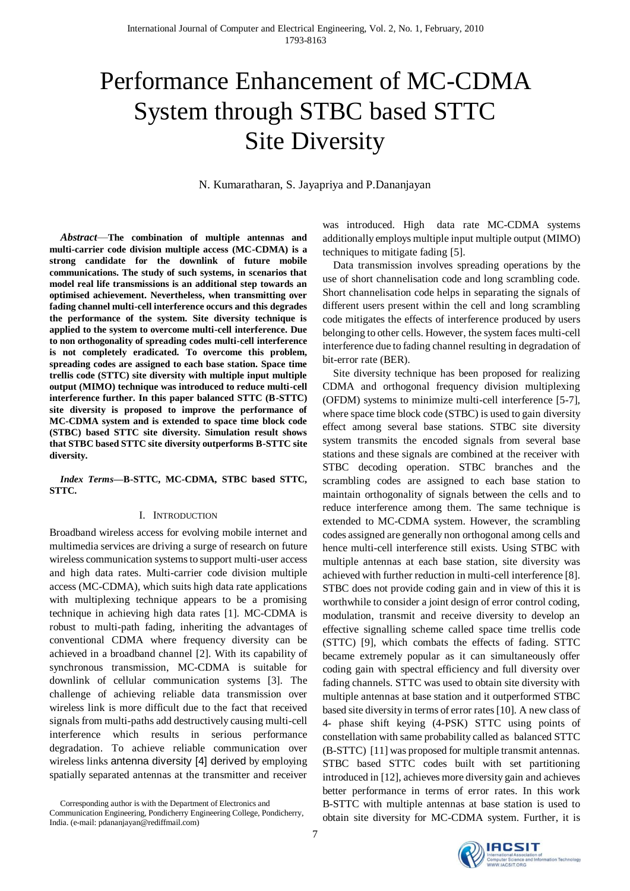# Performance Enhancement of MC-CDMA System through STBC based STTC Site Diversity

N. Kumaratharan, S. Jayapriya and P.Dananjayan

*Abstract*—**The combination of multiple antennas and multi-carrier code division multiple access (MC-CDMA) is a strong candidate for the downlink of future mobile communications. The study of such systems, in scenarios that model real life transmissions is an additional step towards an optimised achievement. Nevertheless, when transmitting over fading channel multi-cell interference occurs and this degrades the performance of the system. Site diversity technique is applied to the system to overcome multi-cell interference. Due to non orthogonality of spreading codes multi-cell interference is not completely eradicated. To overcome this problem, spreading codes are assigned to each base station. Space time trellis code (STTC) site diversity with multiple input multiple output (MIMO) technique was introduced to reduce multi-cell interference further. In this paper balanced STTC (B-STTC) site diversity is proposed to improve the performance of MC-CDMA system and is extended to space time block code (STBC) based STTC site diversity. Simulation result shows that STBC based STTC site diversity outperforms B-STTC site diversity.** 

*Index Terms***—B-STTC, MC-CDMA, STBC based STTC, STTC.** 

#### I. INTRODUCTION

Broadband wireless access for evolving mobile internet and multimedia services are driving a surge of research on future wireless communication systems to support multi-user access and high data rates. Multi-carrier code division multiple access (MC-CDMA), which suits high data rate applications with multiplexing technique appears to be a promising technique in achieving high data rates [1]. MC-CDMA is robust to multi-path fading, inheriting the advantages of conventional CDMA where frequency diversity can be achieved in a broadband channel [2]. With its capability of synchronous transmission, MC-CDMA is suitable for downlink of cellular communication systems [3]. The challenge of achieving reliable data transmission over wireless link is more difficult due to the fact that received signals from multi-paths add destructively causing multi-cell interference which results in serious performance degradation. To achieve reliable communication over wireless links antenna diversity [4] derived by employing spatially separated antennas at the transmitter and receiver

Corresponding author is with the Department of Electronics and Communication Engineering, Pondicherry Engineering College, Pondicherry, India. (e-mail: pdananjayan@rediffmail.com)

was introduced. High data rate MC-CDMA systems additionally employs multiple input multiple output (MIMO) techniques to mitigate fading [5].

Data transmission involves spreading operations by the use of short channelisation code and long scrambling code. Short channelisation code helps in separating the signals of different users present within the cell and long scrambling code mitigates the effects of interference produced by users belonging to other cells. However, the system faces multi-cell interference due to fading channel resulting in degradation of bit-error rate (BER).

Site diversity technique has been proposed for realizing CDMA and orthogonal frequency division multiplexing (OFDM) systems to minimize multi-cell interference [5-7], where space time block code (STBC) is used to gain diversity effect among several base stations. STBC site diversity system transmits the encoded signals from several base stations and these signals are combined at the receiver with STBC decoding operation. STBC branches and the scrambling codes are assigned to each base station to maintain orthogonality of signals between the cells and to reduce interference among them. The same technique is extended to MC-CDMA system. However, the scrambling codes assigned are generally non orthogonal among cells and hence multi-cell interference still exists. Using STBC with multiple antennas at each base station, site diversity was achieved with further reduction in multi-cell interference [8]. STBC does not provide coding gain and in view of this it is worthwhile to consider a joint design of error control coding, modulation, transmit and receive diversity to develop an effective signalling scheme called space time trellis code (STTC) [9], which combats the effects of fading. STTC became extremely popular as it can simultaneously offer coding gain with spectral efficiency and full diversity over fading channels. STTC was used to obtain site diversity with multiple antennas at base station and it outperformed STBC based site diversity in terms of error rates [10]. A new class of 4- phase shift keying (4-PSK) STTC using points of constellation with same probability called as balanced STTC (B-STTC) [11] was proposed for multiple transmit antennas. STBC based STTC codes built with set partitioning introduced in [12], achieves more diversity gain and achieves better performance in terms of error rates. In this work B-STTC with multiple antennas at base station is used to obtain site diversity for MC-CDMA system. Further, it is

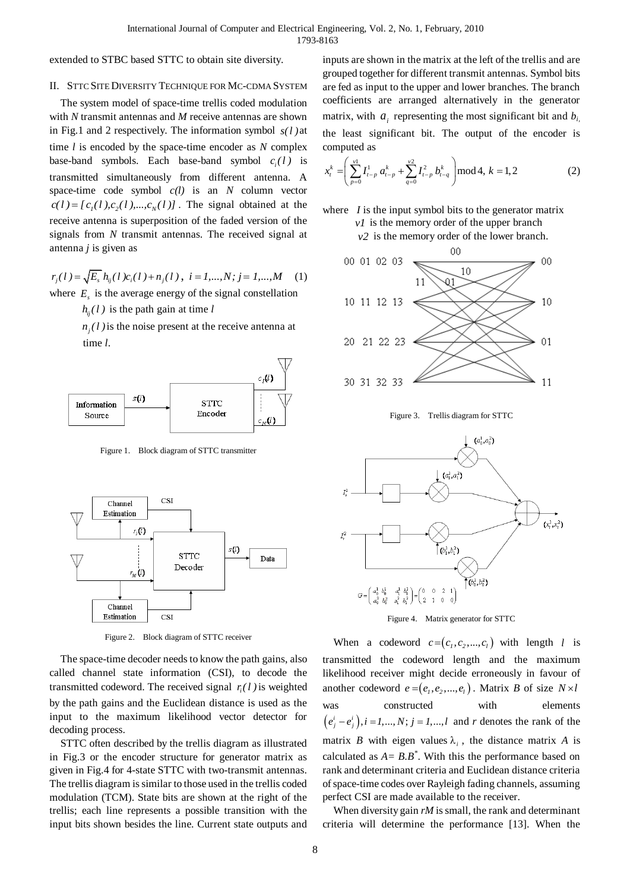extended to STBC based STTC to obtain site diversity.

## II. STTC SITE DIVERSITY TECHNIQUE FOR MC-CDMA SYSTEM

The system model of space-time trellis coded modulation with *N* transmit antennas and *M* receive antennas are shown in Fig.1 and 2 respectively. The information symbol *s( l )* at time *l* is encoded by the space-time encoder as *N* complex base-band symbols. Each base-band symbol  $c_i(l)$  is transmitted simultaneously from different antenna. A space-time code symbol *c(l)* is an *N* column vector  $c(l) = [c_1(l), c_2(l), ..., c_N(l)]$ . The signal obtained at the receive antenna is superposition of the faded version of the signals from *N* transmit antennas. The received signal at antenna *j* is given as

$$
r_j(l) = \sqrt{E_s} h_{ij}(l) c_i(l) + n_j(l), i = 1,...,N; j = 1,...,M
$$
 (1)  
where  $E_s$  is the average energy of the signal constellation

 $h_{ij}(l)$  is the path gain at time *l* 

 $n_j$  (l) is the noise present at the receive antenna at time *l*.



Figure 1. Block diagram of STTC transmitter



Figure 2. Block diagram of STTC receiver

The space-time decoder needs to know the path gains, also called channel state information (CSI), to decode the transmitted codeword. The received signal  $r_i(l)$  is weighted by the path gains and the Euclidean distance is used as the input to the maximum likelihood vector detector for decoding process.

STTC often described by the trellis diagram as illustrated in Fig.3 or the encoder structure for generator matrix as given in Fig.4 for 4-state STTC with two-transmit antennas. The trellis diagram is similar to those used in the trellis coded modulation (TCM). State bits are shown at the right of the trellis; each line represents a possible transition with the input bits shown besides the line. Current state outputs and inputs are shown in the matrix at the left of the trellis and are grouped together for different transmit antennas. Symbol bits are fed as input to the upper and lower branches. The branch coefficients are arranged alternatively in the generator matrix, with  $a_i$  representing the most significant bit and  $b_i$ , the least significant bit. The output of the encoder is computed as

computed as  
\n
$$
x_t^k = \left(\sum_{p=0}^{v^1} I_{t-p}^1 a_{t-p}^k + \sum_{q=0}^{v^2} I_{t-p}^2 b_{t-q}^k\right) \mod 4, k = 1, 2
$$
\n(2)





Figure 3. Trellis diagram for STTC



Figure 4. Matrix generator for STTC

When a codeword  $c = (c_1, c_2, ..., c_l)$  with length *l* is transmitted the codeword length and the maximum likelihood receiver might decide erroneously in favour of another codeword  $e = (e_1, e_2, ..., e_l)$ . Matrix *B* of size  $N \times l$ was constructed with elements  $(e^i_j - e^i_j)$ ,  $i = 1,..., N$ ;  $j = 1,..., l$  and *r* denotes the rank of the matrix *B* with eigen values  $\lambda_i$ , the distance matrix *A* is calculated as  $A = B.B^*$ . With this the performance based on rank and determinant criteria and Euclidean distance criteria of space-time codes over Rayleigh fading channels, assuming perfect CSI are made available to the receiver.

When diversity gain *rM* is small, the rank and determinant criteria will determine the performance [13]. When the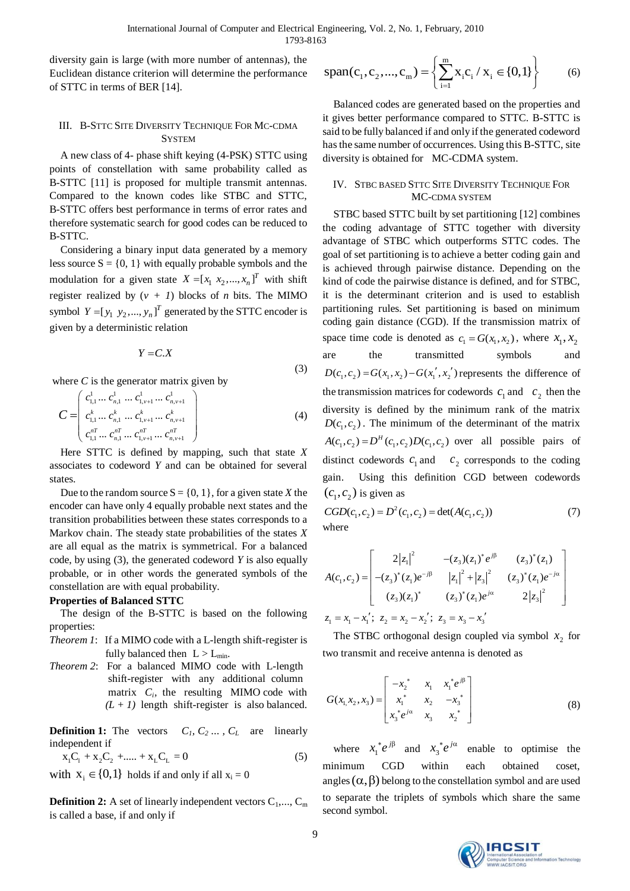(3)

diversity gain is large (with more number of antennas), the Euclidean distance criterion will determine the performance of STTC in terms of BER [14].

# III. B-STTC SITE DIVERSITY TECHNIQUE FOR MC-CDMA **SYSTEM**

A new class of 4- phase shift keying (4-PSK) STTC using points of constellation with same probability called as B-STTC [11] is proposed for multiple transmit antennas. Compared to the known codes like STBC and STTC, B-STTC offers best performance in terms of error rates and therefore systematic search for good codes can be reduced to B-STTC.

Considering a binary input data generated by a memory less source  $S = \{0, 1\}$  with equally probable symbols and the modulation for a given state  $X = [x_1, x_2, ..., x_n]^T$  with shift register realized by  $(v + I)$  blocks of *n* bits. The MIMO symbol  $Y = [y_1 \ y_2, ..., y_n]^T$  generated by the STTC encoder is given by a deterministic relation

$$
Y=C.X
$$

where *C* is the generator matrix given by  
\n
$$
C = \begin{pmatrix}\nc_{1,1}^1 \cdots c_{n,1}^1 \cdots c_{1,\nu+1}^1 \cdots c_{n,\nu+1}^1 \\
c_{1,1}^k \cdots c_{n,1}^k \cdots c_{n,\nu+1}^k \cdots c_{n,\nu+1}^k \\
c_{1,1}^{nT} \cdots c_{n,1}^{nT} \cdots c_{1,\nu+1}^{nT} \cdots c_{n,\nu+1}^{nT}\n\end{pmatrix}
$$
\n(4)

Here STTC is defined by mapping, such that state *X* associates to codeword *Y* and can be obtained for several states.

Due to the random source  $S = \{0, 1\}$ , for a given state *X* the encoder can have only 4 equally probable next states and the transition probabilities between these states corresponds to a Markov chain. The steady state probabilities of the states *X* are all equal as the matrix is symmetrical. For a balanced code, by using (3), the generated codeword *Y* is also equally probable, or in other words the generated symbols of the constellation are with equal probability.

### **Properties of Balanced STTC**

The design of the B-STTC is based on the following properties:

- *Theorem 1*: If a MIMO code with a L-length shift-register is fully balanced then  $L > L_{min}$ .
- *Theorem 2*: For a balanced MIMO code with L-length shift-register with any additional column matrix  $C_i$ , the resulting MIMO code with  $(L + 1)$  length shift-register is also balanced.

**Definition 1:** The vectors  $C_1, C_2, \ldots, C_L$  are linearly independent if

$$
x_1C_1 + x_2C_2 + \dots + x_LC_L = 0
$$
 (5)

with  $x_i \in \{0,1\}$  holds if and only if all  $x_i = 0$ 

**Definition 2:** A set of linearly independent vectors  $C_1, \ldots, C_m$ is called a base, if and only if

$$
span(c_1, c_2, ..., c_m) = \left\{ \sum_{i=1}^{m} x_i c_i / x_i \in \{0, 1\} \right\}
$$
 (6)

Balanced codes are generated based on the properties and it gives better performance compared to STTC. B-STTC is said to be fully balanced if and only if the generated codeword has the same number of occurrences. Using this B-STTC, site diversity is obtained for MC-CDMA system.

## IV. STBC BASED STTC SITE DIVERSITY TECHNIQUE FOR MC-CDMA SYSTEM

STBC based STTC built by set partitioning [12] combines the coding advantage of STTC together with diversity advantage of STBC which outperforms STTC codes. The goal of set partitioning is to achieve a better coding gain and is achieved through pairwise distance. Depending on the kind of code the pairwise distance is defined, and for STBC, it is the determinant criterion and is used to establish partitioning rules. Set partitioning is based on minimum coding gain distance (CGD). If the transmission matrix of space time code is denoted as  $c_1 = G(x_1, x_2)$ , where  $x_1, x_2$ are the transmitted symbols and  $D(c_1, c_2) = G(x_1, x_2) - G(x_1', x_2')$  represents the difference of the transmission matrices for codewords  $c_1$  and  $c_2$  then the diversity is defined by the minimum rank of the matrix  $D(c_1, c_2)$ . The minimum of the determinant of the matrix  $A(c_1, c_2) = D^H(c_1, c_2)D(c_1, c_2)$  over all possible pairs of distinct codewords  $c_1$  and  $c_2$  corresponds to the coding gain. Using this definition CGD between codewords  $(c_1, c_2)$  is given as

$$
CGD(c_1, c_2) = D^2(c_1, c_2) = \det(A(c_1, c_2))
$$
\nwhere

\n(7)

$$
A(c_1, c_2) = \begin{bmatrix} 2|z_1|^2 & -(z_3)(z_1)^* e^{i\beta} & (z_3)^*(z_1) \\ -(z_3)^*(z_1)e^{-i\beta} & |z_1|^2 + |z_3|^2 & (z_3)^*(z_1)e^{-j\alpha} \\ (z_3)(z_1)^* & (z_3)^*(z_1)e^{i\alpha} & 2|z_3|^2 \end{bmatrix}
$$
  

$$
z_1 = x_1 - x_1'; z_2 = x_2 - x_2'; z_3 = x_3 - x_3'
$$

The STBC orthogonal design coupled via symbol  $x_2$  for two transmit and receive antenna is denoted as

$$
G(x_1, x_2, x_3) = \begin{bmatrix} -x_2^* & x_1 & x_1^* e^{j\beta} \\ x_1^* & x_2 & -x_3^* \\ x_3^* e^{j\alpha} & x_3 & x_2^* \end{bmatrix}
$$
 (8)

where  $x_1$  $x_1^* e^{j\beta}$  and  $x_3$  $x_i^* e^{j\alpha}$  enable to optimise the minimum CGD within each obtained coset, angles  $(\alpha, \beta)$  belong to the constellation symbol and are used to separate the triplets of symbols which share the same second symbol.

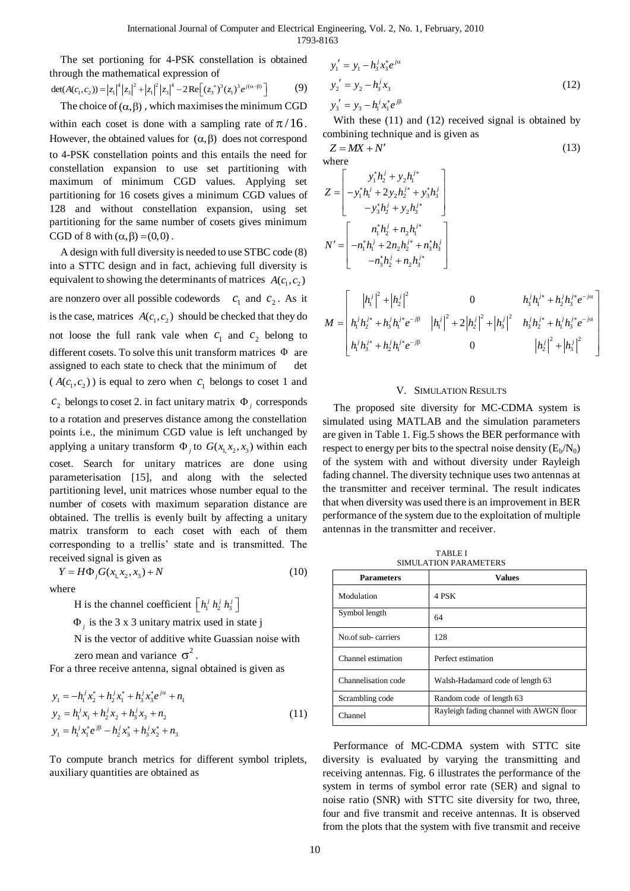The set portioning for 4-PSK constellation is obtained through the mathematical expression of  $\det(A(c_1, c_2)) = |z_1|^4 |z_3|^2 + |z_1|^2 |z_3|^4 - 2 \text{Re}[(z_3^*)^3 (z_1)^3 e^{i(\alpha-\beta)}]$ 

$$
\det(A(c_1, c_2)) = |z_1|^4 |z_3|^2 + |z_1|^2 |z_3|^4 - 2 \text{Re} \left[ (z_3^*)^3 (z_1)^3 e^{j(\alpha - \beta)} \right] \tag{9}
$$

The choice of  $(\alpha, \beta)$ , which maximises the minimum CGD within each coset is done with a sampling rate of  $\pi/16$ . However, the obtained values for  $(\alpha, \beta)$  does not correspond to 4-PSK constellation points and this entails the need for constellation expansion to use set partitioning with maximum of minimum CGD values. Applying set partitioning for 16 cosets gives a minimum CGD values of 128 and without constellation expansion, using set partitioning for the same number of cosets gives minimum CGD of 8 with  $(\alpha, \beta) = (0,0)$ .

A design with full diversity is needed to use STBC code (8) into a STTC design and in fact, achieving full diversity is equivalent to showing the determinants of matrices  $A(c_1, c_2)$ are nonzero over all possible codewords  $c_1$  and  $c_2$ . As it is the case, matrices  $A(c_1, c_2)$  should be checked that they do not loose the full rank vale when  $c_1$  and  $c_2$  belong to different cosets. To solve this unit transform matrices  $\Phi$  are assigned to each state to check that the minimum of det  $(A(c_1, c_2))$  is equal to zero when  $c_1$  belongs to coset 1 and  $c_2$  belongs to coset 2. in fact unitary matrix  $\Phi_j$  corresponds to a rotation and preserves distance among the constellation points i.e., the minimum CGD value is left unchanged by applying a unitary transform  $\Phi_j$  to  $G(x_1, x_2, x_3)$  within each coset. Search for unitary matrices are done using parameterisation [15], and along with the selected partitioning level, unit matrices whose number equal to the number of cosets with maximum separation distance are obtained. The trellis is evenly built by affecting a unitary matrix transform to each coset with each of them corresponding to a trellis' state and is transmitted. The received signal is given as

$$
Y = H\Phi_j G(x_1, x_2, x_3) + N \tag{10}
$$

where

H is the channel coefficient  $\left[ h_1^j h_2^j h_3^j \right]$ 

 $\Phi_i$  is the 3 x 3 unitary matrix used in state j

 N is the vector of additive white Guassian noise with zero mean and variance  $\sigma^2$ .

For a three receive antenna, signal obtained is given as

$$
y_1 = -h_1^j x_2^* + h_2^j x_1^* + h_3^j x_3^* e^{j\alpha} + n_1
$$
  
\n
$$
y_2 = h_1^j x_1 + h_2^j x_2 + h_3^j x_3 + n_2
$$
  
\n
$$
y_1 = h_1^j x_1^* e^{j\beta} - h_2^j x_3^* + h_3^j x_2^* + n_3
$$
\n(11)

To compute branch metrics for different symbol triplets, auxiliary quantities are obtained as

$$
y'_1 = y_1 - h_3^j x_3^* e^{j\alpha}
$$
  
\n
$$
y'_2 = y_2 - h_3^j x_3
$$
  
\n
$$
y'_3 = y_3 - h_1^j x_1^* e^{j\beta}
$$
\n(12)

With these (11) and (12) received signal is obtained by combining technique and is given as

 $Z = MX + N'$  (13) where

$$
Z = \begin{bmatrix} y_1^* h_2^j + y_2 h_1^{j*} \\ -y_1^* h_1^j + 2y_2 h_2^{j*} + y_3^* h_3^j \\ -y_3^* h_2^j + y_2 h_3^{j*} \end{bmatrix}
$$

$$
N' = \begin{bmatrix} n_1^* h_2^j + n_2 h_1^{j*} \\ -n_1^* h_1^j + 2n_2 h_2^{j*} + n_3^* h_3^j \\ -n_3^* h_2^j + n_2 h_3^{j*} \end{bmatrix}
$$

$$
M = \begin{bmatrix} |h_1^j|^2 + |h_2^j|^2 & 0 & h_3^j h_1^{j*} + h_2^j h_3^{j*} e^{-j\alpha} \\ h_1^j h_2^{j*} + h_3^j h_1^{j*} e^{-j\beta} & |h_1^j|^2 + 2|h_2^j|^2 + |h_3^j|^2 & h_3^j h_2^{j*} + h_1^j h_3^{j*} e^{-j\alpha} \\ h_1^j h_3^{j*} + h_2^j h_1^{j*} e^{-j\beta} & 0 & |h_2^j|^2 + |h_3^j|^2 \end{bmatrix}
$$

## V. SIMULATION RESULTS

The proposed site diversity for MC-CDMA system is simulated using MATLAB and the simulation parameters are given in Table 1. Fig.5 shows the BER performance with respect to energy per bits to the spectral noise density  $(E_b/N_0)$ of the system with and without diversity under Rayleigh fading channel. The diversity technique uses two antennas at the transmitter and receiver terminal. The result indicates that when diversity was used there is an improvement in BER performance of the system due to the exploitation of multiple antennas in the transmitter and receiver.

TABLE I SIMULATION PARAMETERS

| <b>Parameters</b>   | <b>Values</b>                           |
|---------------------|-----------------------------------------|
| Modulation          | 4 PSK                                   |
| Symbol length       | 64                                      |
| No.of sub-carriers  | 128                                     |
| Channel estimation  | Perfect estimation                      |
| Channelisation code | Walsh-Hadamard code of length 63        |
| Scrambling code     | Random code of length 63                |
| Channel             | Rayleigh fading channel with AWGN floor |

Performance of MC-CDMA system with STTC site diversity is evaluated by varying the transmitting and receiving antennas. Fig. 6 illustrates the performance of the system in terms of symbol error rate (SER) and signal to noise ratio (SNR) with STTC site diversity for two, three, four and five transmit and receive antennas. It is observed from the plots that the system with five transmit and receive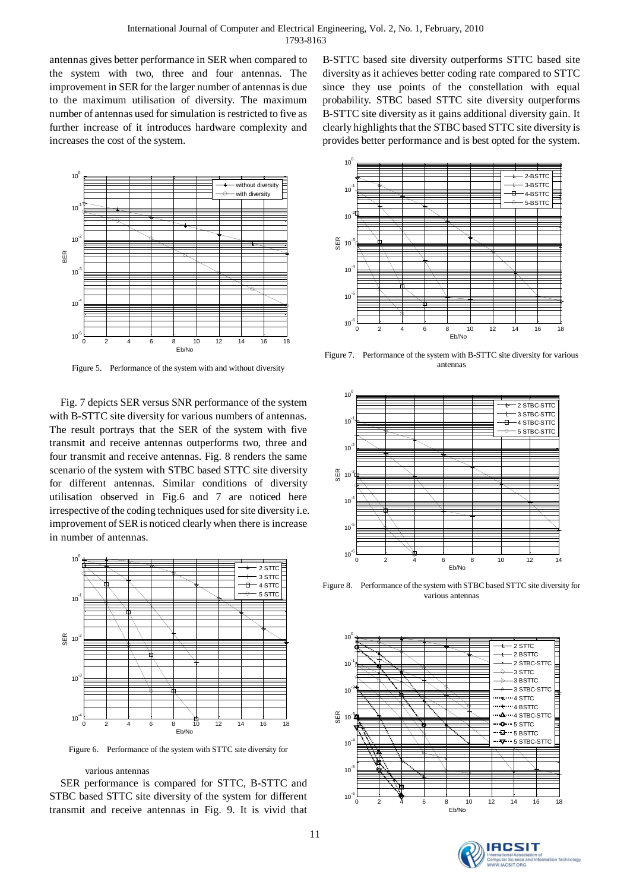antennas gives better performance in SER when compared to the system with two, three and four antennas. The improvement in SER for the larger number of antennas is due to the maximum utilisation of diversity. The maximum number of antennas used for simulation is restricted to five as further increase of it introduces hardware complexity and increases the cost of the system.



Figure 5. Performance of the system with and without diversity

Fig. 7 depicts SER versus SNR performance of the system with B-STTC site diversity for various numbers of antennas. The result portrays that the SER of the system with five transmit and receive antennas outperforms two, three and four transmit and receive antennas. Fig. 8 renders the same scenario of the system with STBC based STTC site diversity for different antennas. Similar conditions of diversity utilisation observed in Fig.6 and 7 are noticed here irrespective of the coding techniques used for site diversity i.e. improvement of SER is noticed clearly when there is increase in number of antennas.



Figure 6. Performance of the system with STTC site diversity for

#### various antennas

SER performance is compared for STTC, B-STTC and STBC based STTC site diversity of the system for different transmit and receive antennas in Fig. 9. It is vivid that B-STTC based site diversity outperforms STTC based site diversity as it achieves better coding rate compared to STTC since they use points of the constellation with equal probability. STBC based STTC site diversity outperforms B-STTC site diversity as it gains additional diversity gain. It clearly highlights that the STBC based STTC site diversity is provides better performance and is best opted for the system.



Figure 7. Performance of the system with B-STTC site diversity for various antennas



Figure 8. Performance of the system with STBC based STTC site diversity for various antennas